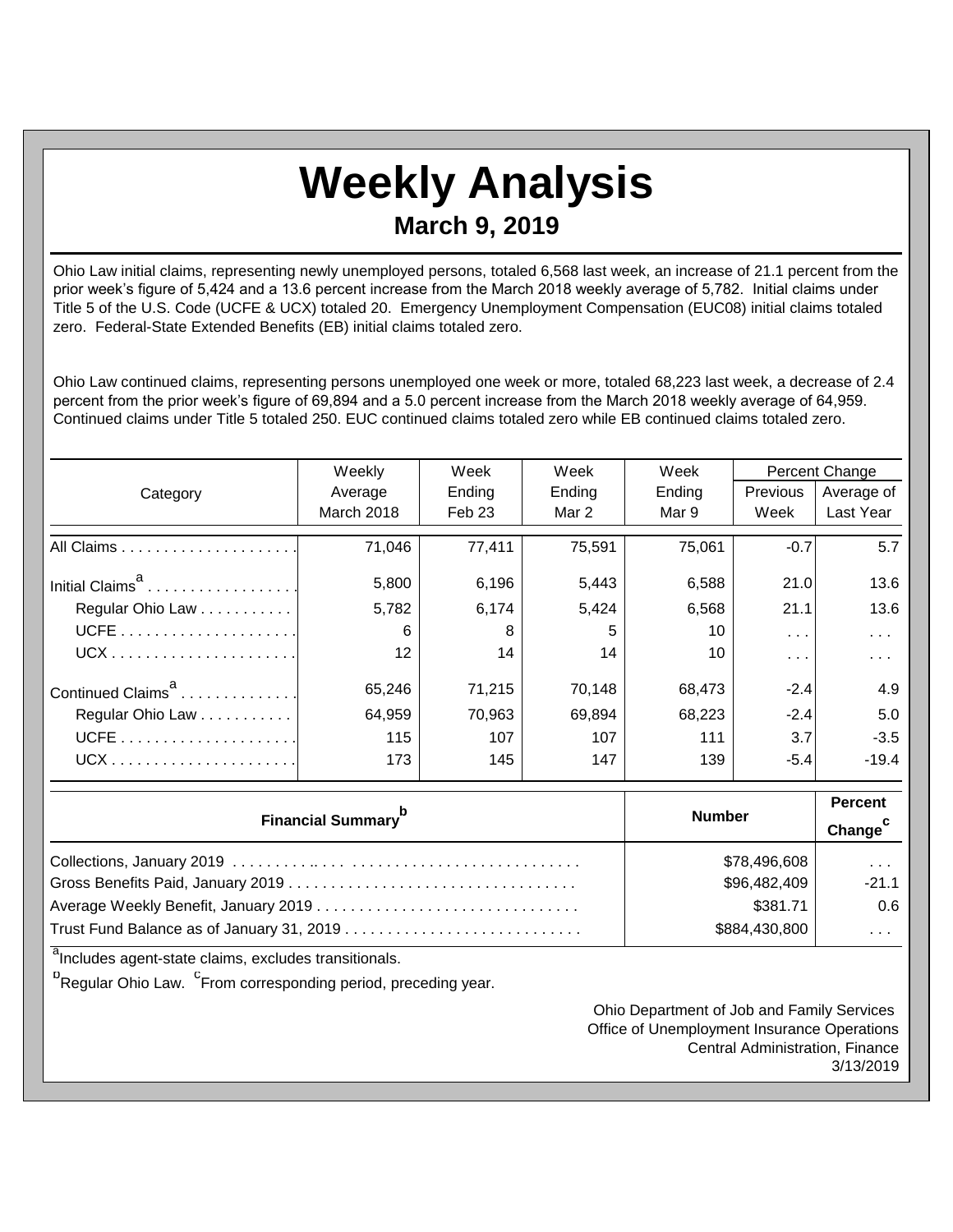## **Weekly Analysis March 9, 2019**

Ohio Law initial claims, representing newly unemployed persons, totaled 6,568 last week, an increase of 21.1 percent from the prior week's figure of 5,424 and a 13.6 percent increase from the March 2018 weekly average of 5,782. Initial claims under Title 5 of the U.S. Code (UCFE & UCX) totaled 20. Emergency Unemployment Compensation (EUC08) initial claims totaled zero. Federal-State Extended Benefits (EB) initial claims totaled zero.

Ohio Law continued claims, representing persons unemployed one week or more, totaled 68,223 last week, a decrease of 2.4 percent from the prior week's figure of 69,894 and a 5.0 percent increase from the March 2018 weekly average of 64,959. Continued claims under Title 5 totaled 250. EUC continued claims totaled zero while EB continued claims totaled zero.

|                               | Weekly     | Week              | Week   | Week   | Percent Change          |                      |
|-------------------------------|------------|-------------------|--------|--------|-------------------------|----------------------|
| Category                      | Average    | Ending            | Ending | Ending | Previous                | Average of           |
|                               | March 2018 | Feb <sub>23</sub> | Mar 2  | Mar 9  | Week                    | Last Year            |
|                               | 71,046     | 77,411            | 75,591 | 75,061 | $-0.7$                  | 5.7                  |
| Initial Claims <sup>a</sup>   | 5,800      | 6,196             | 5,443  | 6,588  | 21.0                    | 13.6                 |
| Regular Ohio Law              | 5,782      | 6,174             | 5,424  | 6,568  | 21.1                    | 13.6                 |
|                               | 6          | 8                 | 5      | 10     | $\sim 100$ km s $^{-1}$ | $\sim$ $\sim$ $\sim$ |
|                               | 12         | 14                | 14     | 10     | $\cdots$                | $\sim$ $\sim$ $\sim$ |
| Continued Claims <sup>a</sup> | 65,246     | 71,215            | 70,148 | 68,473 | $-2.4$                  | 4.9                  |
| Regular Ohio Law              | 64,959     | 70,963            | 69,894 | 68,223 | $-2.4$                  | 5.0                  |
|                               | 115        | 107               | 107    | 111    | 3.7                     | $-3.5$               |
|                               | 173        | 145               | 147    | 139    | $-5.4$                  | $-19.4$              |

| <b>Financial Summary</b> <sup>p</sup> | <b>Number</b> | <b>Percent</b><br>Change <sup>c</sup> |
|---------------------------------------|---------------|---------------------------------------|
|                                       | \$78,496,608  | $\sim$ $\sim$ $\sim$                  |
|                                       | \$96,482,409  | $-21.1$                               |
|                                       | \$381.71      | 0.6                                   |
|                                       | \$884,430,800 | $\cdots$                              |

<sup>a</sup>Includes agent-state claims, excludes transitionals.

<sup>b</sup>Regular Ohio Law. <sup>C</sup>From corresponding period, preceding year.

Ohio Department of Job and Family Services Office of Unemployment Insurance Operations Central Administration, Finance 3/13/2019